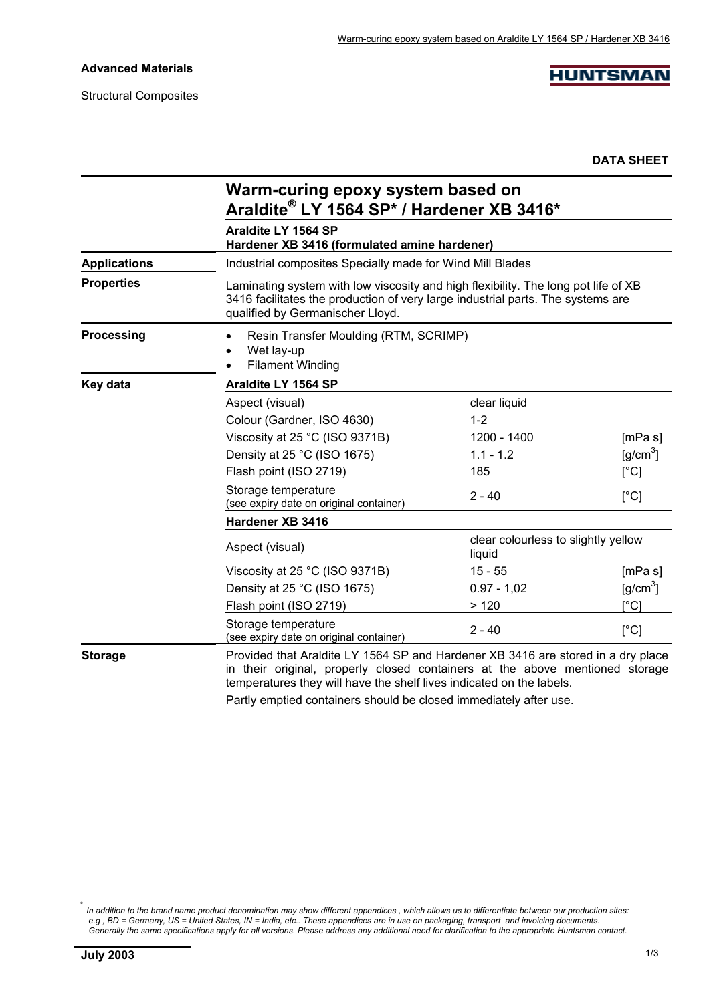## **Advanced Materials**

Structural Composites

**HUNTSMAN** 

**DATA SHEET**

|                     | Warm-curing epoxy system based on<br>Araldite® LY 1564 SP* / Hardener XB 3416*                                                                                                                                                           |                                               |                                             |  |
|---------------------|------------------------------------------------------------------------------------------------------------------------------------------------------------------------------------------------------------------------------------------|-----------------------------------------------|---------------------------------------------|--|
|                     | Araldite LY 1564 SP<br>Hardener XB 3416 (formulated amine hardener)                                                                                                                                                                      |                                               |                                             |  |
| <b>Applications</b> | Industrial composites Specially made for Wind Mill Blades                                                                                                                                                                                |                                               |                                             |  |
| <b>Properties</b>   | Laminating system with low viscosity and high flexibility. The long pot life of XB<br>3416 facilitates the production of very large industrial parts. The systems are<br>qualified by Germanischer Lloyd.                                |                                               |                                             |  |
| Processing          | Resin Transfer Moulding (RTM, SCRIMP)<br>Wet lay-up<br><b>Filament Winding</b>                                                                                                                                                           |                                               |                                             |  |
| Key data            | Araldite LY 1564 SP                                                                                                                                                                                                                      |                                               |                                             |  |
|                     | Aspect (visual)                                                                                                                                                                                                                          | clear liquid                                  |                                             |  |
|                     | Colour (Gardner, ISO 4630)                                                                                                                                                                                                               | $1 - 2$                                       |                                             |  |
|                     | Viscosity at 25 °C (ISO 9371B)                                                                                                                                                                                                           | 1200 - 1400                                   | [mPa s]                                     |  |
|                     | Density at 25 °C (ISO 1675)                                                                                                                                                                                                              | $1.1 - 1.2$                                   | $\left[\frac{\text{g}}{\text{cm}^3}\right]$ |  |
|                     | Flash point (ISO 2719)                                                                                                                                                                                                                   | 185                                           | [°C]                                        |  |
|                     | Storage temperature<br>(see expiry date on original container)                                                                                                                                                                           | $2 - 40$                                      | [°C]                                        |  |
|                     | Hardener XB 3416                                                                                                                                                                                                                         |                                               |                                             |  |
|                     | Aspect (visual)                                                                                                                                                                                                                          | clear colourless to slightly yellow<br>liquid |                                             |  |
|                     | Viscosity at 25 °C (ISO 9371B)                                                                                                                                                                                                           | $15 - 55$                                     | [mPa s]                                     |  |
|                     | Density at 25 °C (ISO 1675)                                                                                                                                                                                                              | $0.97 - 1.02$                                 | $\left[\frac{\text{g}}{\text{cm}^3}\right]$ |  |
|                     | Flash point (ISO 2719)                                                                                                                                                                                                                   | >120                                          | $\mathsf{I}^\circ\mathsf{C}$                |  |
|                     | Storage temperature<br>(see expiry date on original container)                                                                                                                                                                           | $2 - 40$                                      | [°C]                                        |  |
| <b>Storage</b>      | Provided that Araldite LY 1564 SP and Hardener XB 3416 are stored in a dry place<br>in their original, properly closed containers at the above mentioned storage<br>temperatures they will have the shelf lives indicated on the labels. |                                               |                                             |  |

Partly emptied containers should be closed immediately after use.

l

<sup>\*</sup> *In addition to the brand name product denomination may show different appendices , which allows us to differentiate between our production sites: e.g , BD = Germany, US = United States, IN = India, etc.. These appendices are in use on packaging, transport and invoicing documents. Generally the same specifications apply for all versions. Please address any additional need for clarification to the appropriate Huntsman contact.*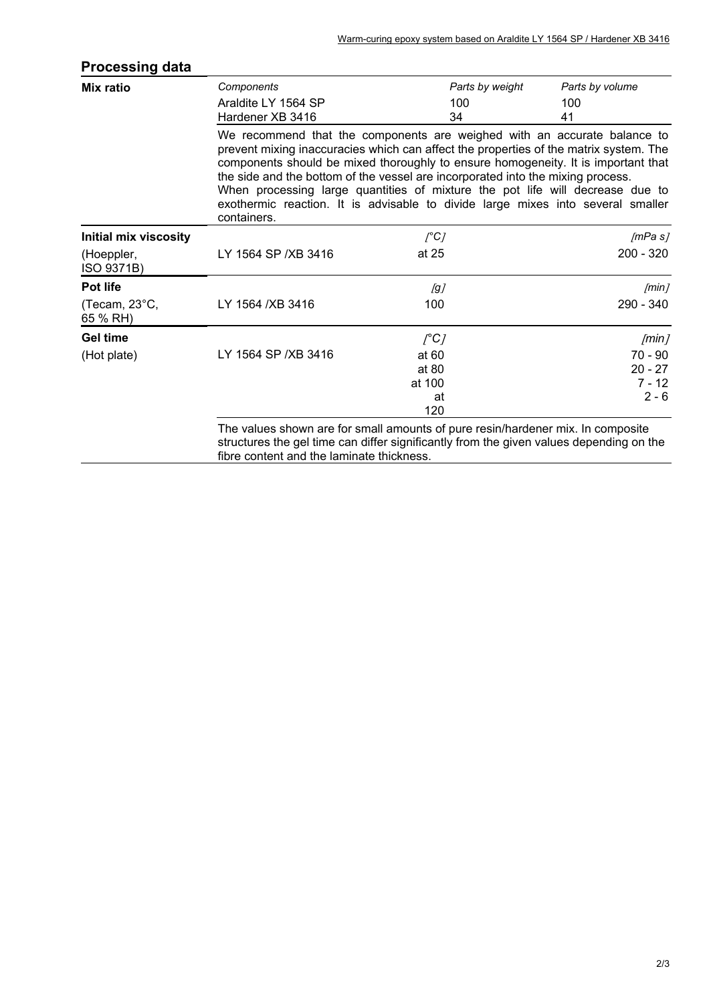| Parts by volume<br>100<br>41                                                                                                                                                                                                                                                                                                                                                                                                                                                                                                 |  |  |  |
|------------------------------------------------------------------------------------------------------------------------------------------------------------------------------------------------------------------------------------------------------------------------------------------------------------------------------------------------------------------------------------------------------------------------------------------------------------------------------------------------------------------------------|--|--|--|
|                                                                                                                                                                                                                                                                                                                                                                                                                                                                                                                              |  |  |  |
| We recommend that the components are weighed with an accurate balance to<br>prevent mixing inaccuracies which can affect the properties of the matrix system. The<br>components should be mixed thoroughly to ensure homogeneity. It is important that<br>the side and the bottom of the vessel are incorporated into the mixing process.<br>When processing large quantities of mixture the pot life will decrease due to<br>exothermic reaction. It is advisable to divide large mixes into several smaller<br>containers. |  |  |  |
| /mPa s/                                                                                                                                                                                                                                                                                                                                                                                                                                                                                                                      |  |  |  |
| $200 - 320$                                                                                                                                                                                                                                                                                                                                                                                                                                                                                                                  |  |  |  |
| [min]                                                                                                                                                                                                                                                                                                                                                                                                                                                                                                                        |  |  |  |
| 290 - 340                                                                                                                                                                                                                                                                                                                                                                                                                                                                                                                    |  |  |  |
| [min]                                                                                                                                                                                                                                                                                                                                                                                                                                                                                                                        |  |  |  |
| $70 - 90$                                                                                                                                                                                                                                                                                                                                                                                                                                                                                                                    |  |  |  |
| $20 - 27$                                                                                                                                                                                                                                                                                                                                                                                                                                                                                                                    |  |  |  |
| $7 - 12$                                                                                                                                                                                                                                                                                                                                                                                                                                                                                                                     |  |  |  |
| $2 - 6$                                                                                                                                                                                                                                                                                                                                                                                                                                                                                                                      |  |  |  |
| The values shown are for small amounts of pure resin/hardener mix. In composite<br>structures the gel time can differ significantly from the given values depending on the                                                                                                                                                                                                                                                                                                                                                   |  |  |  |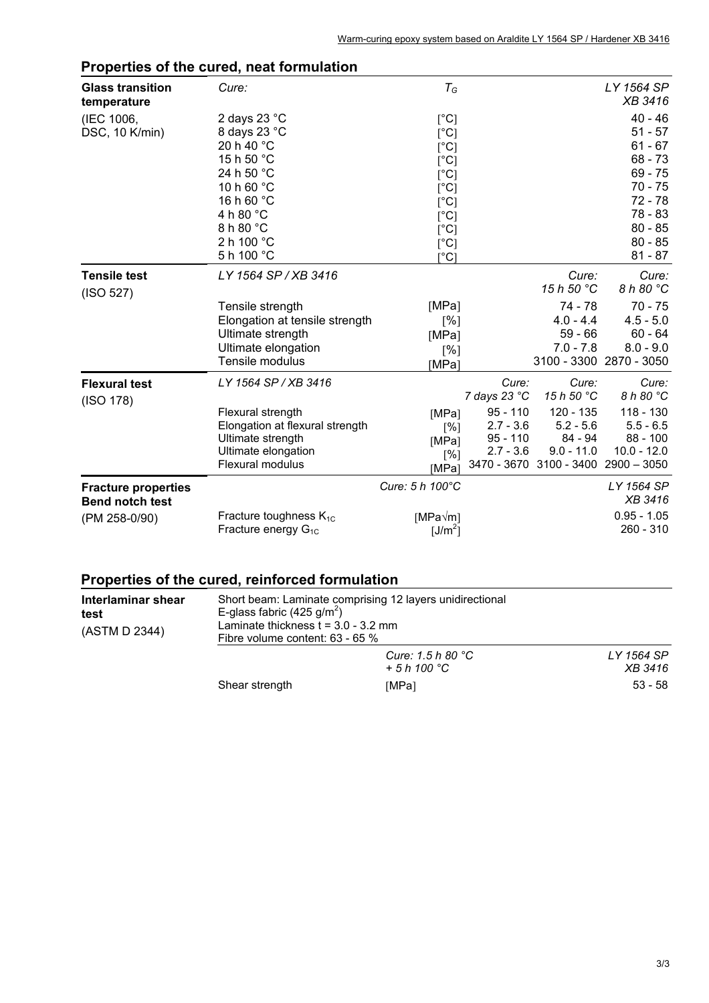|                                                      | $\sim$ . The contract of the contract of the contract of the contract of the contract of the contract of the contract of the contract of the contract of the contract of the contract of the contract of the contract of the co |                                                                                                                            |                                                        |                                                     |                                                                                                                   |
|------------------------------------------------------|---------------------------------------------------------------------------------------------------------------------------------------------------------------------------------------------------------------------------------|----------------------------------------------------------------------------------------------------------------------------|--------------------------------------------------------|-----------------------------------------------------|-------------------------------------------------------------------------------------------------------------------|
| <b>Glass transition</b><br>temperature               | Cure:                                                                                                                                                                                                                           | $T_G$                                                                                                                      |                                                        |                                                     | LY 1564 SP<br>XB 3416                                                                                             |
| (IEC 1006,<br>DSC, 10 K/min)                         | 2 days 23 $^{\circ}$ C<br>8 days 23 °C<br>20 h 40 °C<br>15 h 50 °C<br>24 h 50 °C<br>10 h 60 °C<br>16 h 60 °C<br>4 h 80 °C<br>8 h 80 °C                                                                                          | [°C]<br>$[^{\circ}C]$<br>$[^{\circ}C]$<br>$[^{\circ}C]$<br>[°C]<br>$[^{\circ}C]$<br>$[^{\circ}C]$<br>[°C]<br>$[^{\circ}C]$ |                                                        |                                                     | $40 - 46$<br>$51 - 57$<br>$61 - 67$<br>$68 - 73$<br>$69 - 75$<br>$70 - 75$<br>$72 - 78$<br>$78 - 83$<br>$80 - 85$ |
|                                                      | 2 h 100 $^{\circ}$ C<br>5 h 100 °C                                                                                                                                                                                              | [°C]<br>$\lceil{^{\circ}C}\rceil$                                                                                          |                                                        |                                                     | $80 - 85$<br>$81 - 87$                                                                                            |
| <b>Tensile test</b><br>(ISO 527)                     | LY 1564 SP / XB 3416                                                                                                                                                                                                            |                                                                                                                            |                                                        | Cure:<br>15 h 50 °C                                 | Cure:<br>8 h 80 °C                                                                                                |
|                                                      | Tensile strength<br>Elongation at tensile strength<br>Ultimate strength<br>Ultimate elongation<br>Tensile modulus                                                                                                               | [MPa]<br>$\lceil\% \rceil$<br>[MPa]<br>$\lceil\% \rceil$<br>[MPa]                                                          |                                                        | 74 - 78<br>$4.0 - 4.4$<br>$59 - 66$<br>$7.0 - 7.8$  | $70 - 75$<br>$4.5 - 5.0$<br>$60 - 64$<br>$8.0 - 9.0$<br>3100 - 3300 2870 - 3050                                   |
| <b>Flexural test</b><br>(ISO 178)                    | LY 1564 SP / XB 3416                                                                                                                                                                                                            |                                                                                                                            | Cure:<br>7 days 23 °C                                  | Cure:<br>15 h 50 °C                                 | Cure:<br>8 h 80 °C                                                                                                |
|                                                      | Flexural strength<br>Elongation at flexural strength<br>Ultimate strength<br>Ultimate elongation<br>Flexural modulus                                                                                                            | [MPa]<br>[%]<br>[MPa]<br>[%]<br>[MPa]                                                                                      | $95 - 110$<br>$2.7 - 3.6$<br>$95 - 110$<br>$2.7 - 3.6$ | 120 - 135<br>$5.2 - 5.6$<br>84 - 94<br>$9.0 - 11.0$ | $118 - 130$<br>$5.5 - 6.5$<br>$88 - 100$<br>$10.0 - 12.0$<br>3470 - 3670 3100 - 3400 2900 - 3050                  |
| <b>Fracture properties</b><br><b>Bend notch test</b> |                                                                                                                                                                                                                                 | Cure: 5 h 100°C                                                                                                            |                                                        |                                                     | LY 1564 SP<br>XB 3416                                                                                             |
| (PM 258-0/90)                                        | Fracture toughness $K_{1C}$<br>Fracture energy $G_{1C}$                                                                                                                                                                         | $[MPa\sqrt{m}]$<br>[ $J/m^2$ ]                                                                                             |                                                        |                                                     | $0.95 - 1.05$<br>260 - 310                                                                                        |

## **Properties of the cured, neat formulation**

## **Properties of the cured, reinforced formulation**

| Interlaminar shear<br>test<br>(ASTM D 2344) | E-glass fabric $(425 \text{ g/m}^2)$<br>Laminate thickness $t = 3.0 - 3.2$ mm<br>Fibre volume content: $63 - 65$ % | Short beam: Laminate comprising 12 layers unidirectional |                       |
|---------------------------------------------|--------------------------------------------------------------------------------------------------------------------|----------------------------------------------------------|-----------------------|
|                                             |                                                                                                                    | Cure: 1.5 h 80 $^{\circ}$ C<br>$+5h100\degree C$         | LY 1564 SP<br>XB 3416 |
|                                             | Shear strength                                                                                                     | [MPa]                                                    | $53 - 58$             |